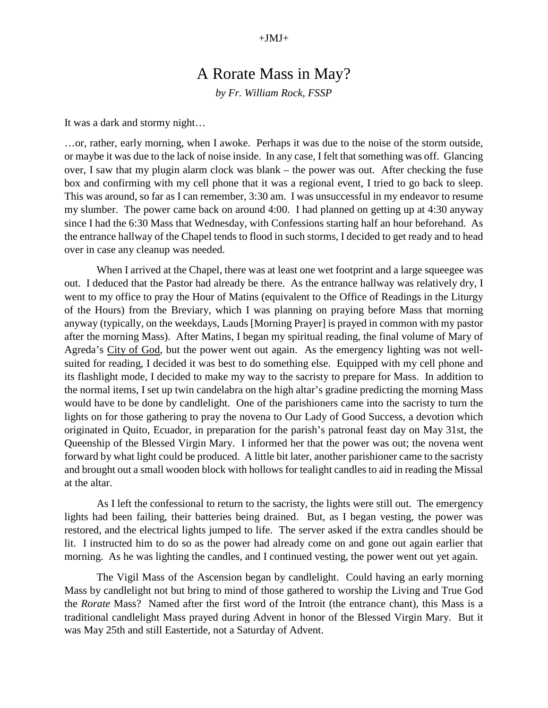## A Rorate Mass in May?

*by Fr. William Rock, FSSP*

It was a dark and stormy night…

…or, rather, early morning, when I awoke. Perhaps it was due to the noise of the storm outside, or maybe it was due to the lack of noise inside. In any case, I felt that something was off. Glancing over, I saw that my plugin alarm clock was blank – the power was out. After checking the fuse box and confirming with my cell phone that it was a regional event, I tried to go back to sleep. This was around, so far as I can remember, 3:30 am. I was unsuccessful in my endeavor to resume my slumber. The power came back on around 4:00. I had planned on getting up at 4:30 anyway since I had the 6:30 Mass that Wednesday, with Confessions starting half an hour beforehand. As the entrance hallway of the Chapel tends to flood in such storms, I decided to get ready and to head over in case any cleanup was needed.

When I arrived at the Chapel, there was at least one wet footprint and a large squeegee was out. I deduced that the Pastor had already be there. As the entrance hallway was relatively dry, I went to my office to pray the Hour of Matins (equivalent to the Office of Readings in the Liturgy of the Hours) from the Breviary, which I was planning on praying before Mass that morning anyway (typically, on the weekdays, Lauds [Morning Prayer] is prayed in common with my pastor after the morning Mass). After Matins, I began my spiritual reading, the final volume of Mary of Agreda's City of God, but the power went out again. As the emergency lighting was not wellsuited for reading, I decided it was best to do something else. Equipped with my cell phone and its flashlight mode, I decided to make my way to the sacristy to prepare for Mass. In addition to the normal items, I set up twin candelabra on the high altar's gradine predicting the morning Mass would have to be done by candlelight. One of the parishioners came into the sacristy to turn the lights on for those gathering to pray the novena to Our Lady of Good Success, a devotion which originated in Quito, Ecuador, in preparation for the parish's patronal feast day on May 31st, the Queenship of the Blessed Virgin Mary. I informed her that the power was out; the novena went forward by what light could be produced. A little bit later, another parishioner came to the sacristy and brought out a small wooden block with hollows for tealight candles to aid in reading the Missal at the altar.

As I left the confessional to return to the sacristy, the lights were still out. The emergency lights had been failing, their batteries being drained. But, as I began vesting, the power was restored, and the electrical lights jumped to life. The server asked if the extra candles should be lit. I instructed him to do so as the power had already come on and gone out again earlier that morning. As he was lighting the candles, and I continued vesting, the power went out yet again.

The Vigil Mass of the Ascension began by candlelight. Could having an early morning Mass by candlelight not but bring to mind of those gathered to worship the Living and True God the *Rorate* Mass? Named after the first word of the Introit (the entrance chant), this Mass is a traditional candlelight Mass prayed during Advent in honor of the Blessed Virgin Mary. But it was May 25th and still Eastertide, not a Saturday of Advent.